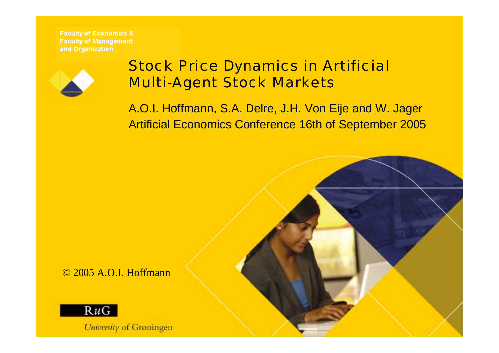

### Stock Price Dynamics in Artificial Multi-Agent Stock Markets

A.O.I. Hoffmann, S.A. Delre, J.H. Von Eije and W. Jager Artificial Economics Conference 16th of September 2005

© 2005 A.O.I. Hoffmann



*Luimmin of Croningson*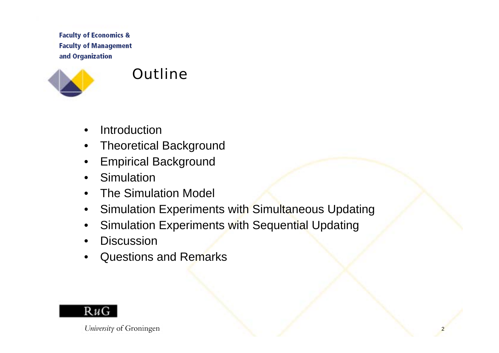

#### **Outline**

- •**Introduction**
- $\bullet$ Theoretical Background
- •Empirical Background
- •**Simulation**
- •The Simulation Model
- •Simulation Experiments with Simultaneous Updating
- •Simulation Experiments with Sequential Updating
- •**Discussion**
- •Questions and Remarks

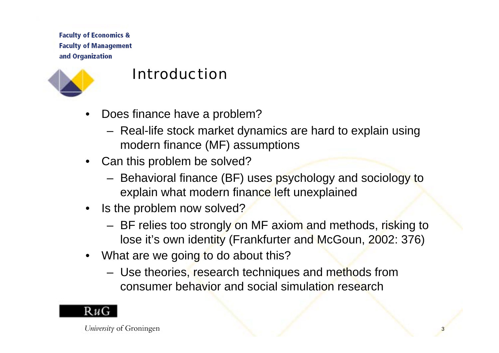

#### Introduction

- • Does finance have a problem?
	- Real-life stock market dynamics are hard to explain using modern finance (MF) assumptions
- Can this problem be solved?
	- Behavioral finance (BF) uses psychology and sociology to explain what modern finance left unexplained
- Is the problem now solved?
	- BF relies too strongly on MF axiom and methods, risking to lose it's own identity (Frankfurter and McGoun, 2002: 376)

**<u>1</u>** 

- What are we going to do about this?
	- Use theories, research techniques and methods from consumer behavior and social simulation research



 $L$  below to a  $C$  contract  $\alpha$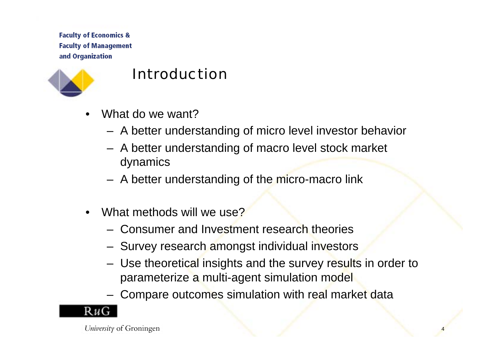

#### Introduction

- •What do we want?
	- A better understanding of micro level investor behavior
	- A better understanding of macro level stock market dynamics
	- A better understanding of the micro-macro link
- •What methods will we use?
	- Consumer and Investment research theories
	- Survey research amongst individual investors
	- Use theoretical insights and the survey results in order to parameterize a multi-agent simulation model

4

Compare outcomes simulation with real market data

 $L$  below the of  $C$  contractor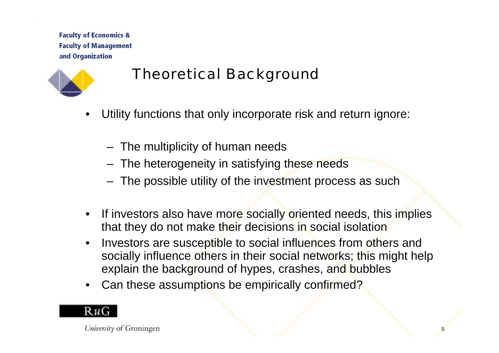

# Theoretical Background

- • Utility functions that only incorporate risk and return ignore:
	- The multiplicity of human needs
	- The heterogeneity in satisfying these needs
	- The possible utility of the investment process as such
- $\bullet$  If investors also have more socially oriented needs, this implies that they do not make their decisions in social isolation
- $\bullet$  Investors are susceptible to social influences from others and socially influence others in their social networks; this might help explain the background of hypes, crashes, and bubbles

-

•Can these assumptions be empirically confirmed?

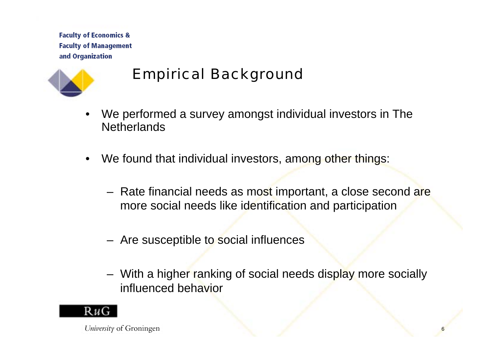

### Empirical Background

- • We performed a survey amongst individual investors in The **Netherlands**
- •We found that individual investors, among other things:
	- Rate financial needs as most important, a close second are more social needs like identification and participation
	- Are susceptible to social influences
	- With a higher ranking of social needs display more socially influenced behavior

6

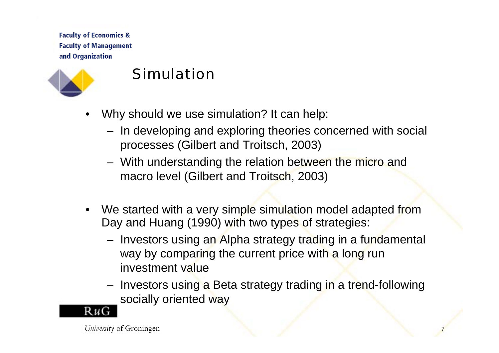

#### Simulation

- • Why should we use simulation? It can help:
	- In developing and exploring theories concerned with social processes (Gilbert and Troitsch, 2003)
	- With understanding the relation between the micro and macro level (Gilbert and Troitsch, 2003)
- We started with a very simple simulation model adapted from Day and Huang (1990) with two types of strategies:
	- Investors using an Alpha strategy trading in a fundamental way by comparing the current price with a long run investment value
	- Investors using a Beta strategy trading in a trend-following socially oriented way

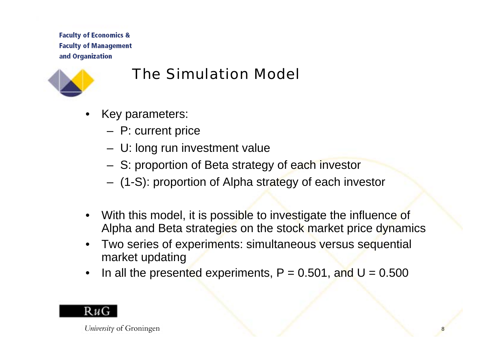

### The Simulation Model

- • Key parameters:
	- P: current price
	- U: long run investment value
	- S: proportion of Beta strategy of each investor
	- (1-S): proportion of Alpha strategy of each investor
- • With this model, it is possible to investigate the influence of Alpha and Beta strategies on the stock market price dynamics
- Two series of experiments: simultaneous versus sequential market updating
- •In all the presented experiments,  $P = 0.501$ , and  $U = 0.500$

8

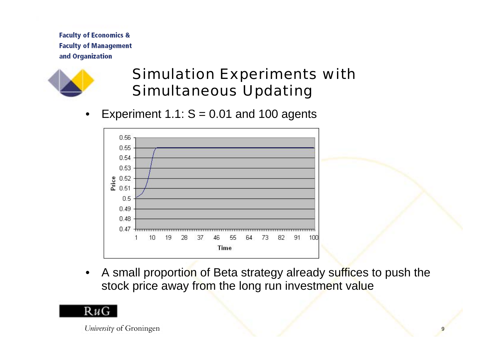

# Simulation Experiments with Simultaneous Updating

•Experiment 1.1:  $S = 0.01$  and 100 agents



• A small proportion of Beta strategy already suffices to push the stock price away from the long run investment value

9

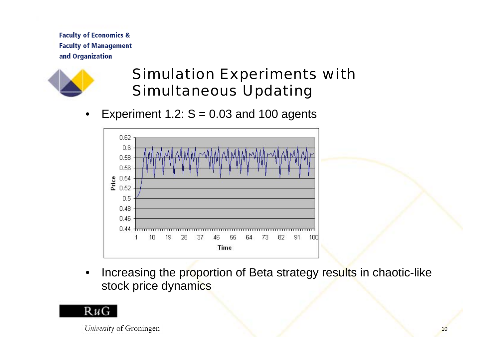

# Simulation Experiments with Simultaneous Updating

•Experiment 1.2:  $S = 0.03$  and 100 agents



• Increasing the proportion of Beta strategy results in chaotic-like stock price dynamics

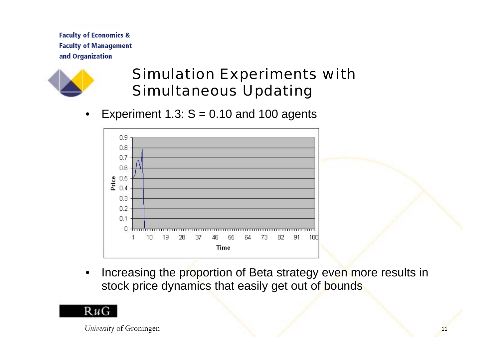

# Simulation Experiments with Simultaneous Updating

•Experiment 1.3:  $S = 0.10$  and 100 agents



• Increasing the proportion of Beta strategy even more results in stock price dynamics that easily get out of bounds

. .

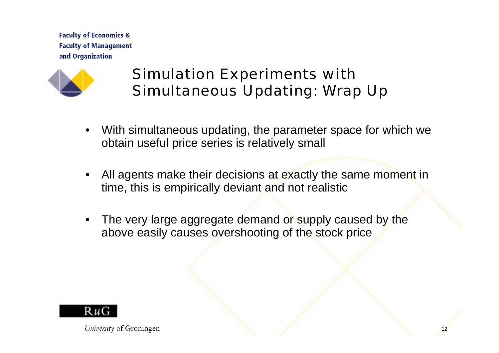

# Simulation Experiments with Simultaneous Updating: Wrap Up

- • With simultaneous updating, the parameter space for which we obtain useful price series is relatively small
- • All agents make their decisions at exactly the same moment in time, this is empirically deviant and not realistic

<u>12</u>

• The very large aggregate demand or supply caused by the above easily causes overshooting of the stock price



 $U$ unamitural Cuaningan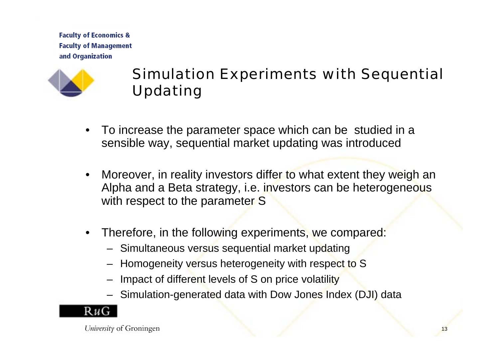

# Simulation Experiments with Sequential Updating

- To increase the parameter space which can be studied in a sensible way, sequential market updating was introduced
- • Moreover, in reality investors differ to what extent they weigh an Alpha and a Beta strategy, i.e. investors can be heterogeneous with respect to the parameter S
- Therefore, in the following experiments, we compared:
	- Simultaneous versus sequential market updating
	- Homogeneity versus heterogeneity with respect to S
	- Impact of different levels of S on price volatility
	- Simulation-generated data with Dow Jones Index (DJI) data

1 **n** 



 $L$  below the of  $C$  contractor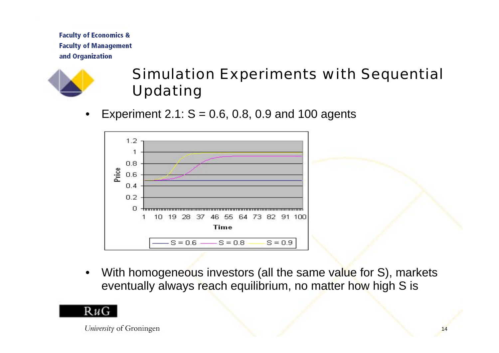

# Simulation Experiments with Sequential Updating

•Experiment 2.1:  $S = 0.6$ , 0.8, 0.9 and 100 agents



•With homogeneous investors (all the same value for S), markets eventually always reach equilibrium, no matter how high S is

14

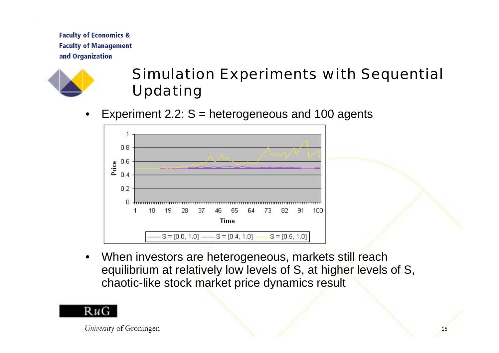

# Simulation Experiments with Sequential Updating

•Experiment  $2.2$ :  $S =$  heterogeneous and 100 agents



•When investors are heterogeneous, markets still reach equilibrium at relatively low levels of S, at higher levels of S, chaotic-like stock market price dynamics result

15



 $L$  become the  $\alpha$   $C$  construction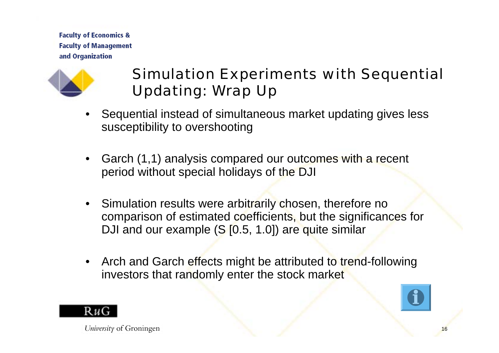

# Simulation Experiments with Sequential Updating: Wrap Up

- • Sequential instead of simultaneous market updating gives less susceptibility to overshooting
- • Garch (1,1) analysis compared our outcomes with a recent period without special holidays of the DJI
- Simulation results were arbitrarily chosen, therefore no comparison of estimated coefficients, but the significances for DJI and our example (S [0.5, 1.0]) are quite similar
- Arch and Garch effects might be attributed to trend-following investors that randomly enter the stock market



16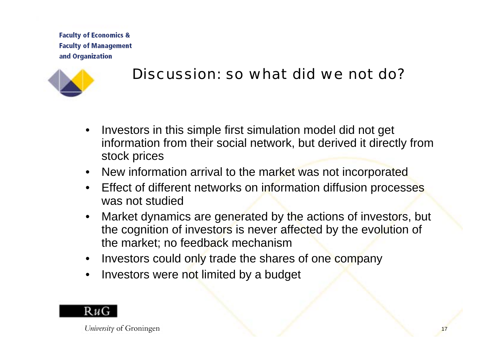

#### Discussion: so what did we not do?

- • Investors in this simple first simulation model did not get information from their social network, but derived it directly from stock prices
- New information arrival to the market was not incorporated
- $\bullet$  Effect of different networks on information diffusion processes was not studied
- • Market dynamics are generated by the actions of investors, but the cognition of investors is never affected by the evolution of the market; no feedback mechanism

 $\overline{\phantom{a}}$ 

- $\bullet$ Investors could only trade the shares of one company
- $\bullet$ Investors were not limited by a budget



 $L$  below to a  $C$  contract  $\alpha$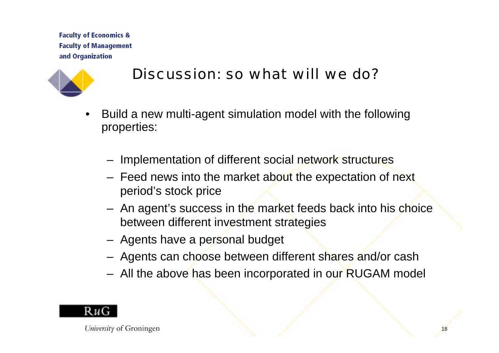

### Discussion: so what will we do?

- • Build a new multi-agent simulation model with the following properties:
	- Implementation of different social network structures
	- Feed news into the market about the expectation of next period's stock price
	- An agent's success in the market feeds back into his choice between different investment strategies
	- Agents have a personal budget
	- Agents can choose between different shares and/or cash
	- All the above has been incorporated in our RUGAM model



 $L$  below to a  $C$  contract  $\alpha$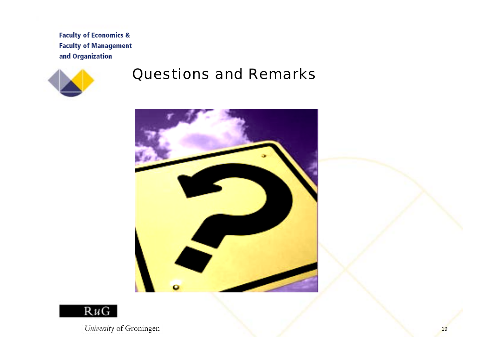

#### Questions and Remarks



1 **2** 



 $L$   $L$   $\ddot{\theta}$  and  $\ddot{\theta}$   $\theta$   $\theta$   $\ddot{\theta}$   $\ddot{\theta}$   $\ddot{\theta}$